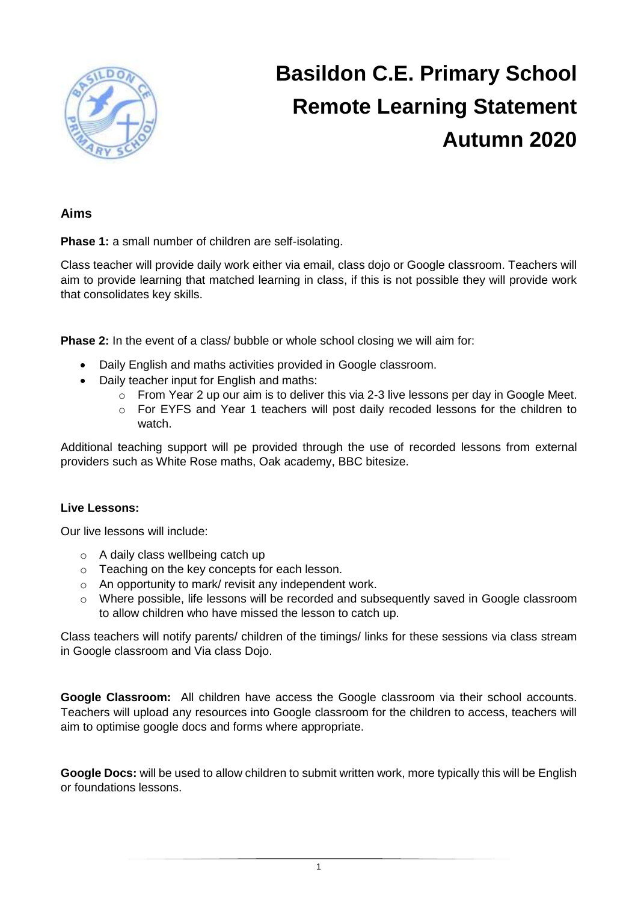

# **Basildon C.E. Primary School Remote Learning Statement Autumn 2020**

#### **Aims**

**Phase 1:** a small number of children are self-isolating.

Class teacher will provide daily work either via email, class dojo or Google classroom. Teachers will aim to provide learning that matched learning in class, if this is not possible they will provide work that consolidates key skills.

**Phase 2:** In the event of a class/ bubble or whole school closing we will aim for:

- Daily English and maths activities provided in Google classroom.
- Daily teacher input for English and maths:
	- o From Year 2 up our aim is to deliver this via 2-3 live lessons per day in Google Meet.
	- $\circ$  For EYFS and Year 1 teachers will post daily recoded lessons for the children to watch.

Additional teaching support will pe provided through the use of recorded lessons from external providers such as White Rose maths, Oak academy, BBC bitesize.

#### **Live Lessons:**

Our live lessons will include:

- o A daily class wellbeing catch up
- o Teaching on the key concepts for each lesson.
- o An opportunity to mark/ revisit any independent work.
- o Where possible, life lessons will be recorded and subsequently saved in Google classroom to allow children who have missed the lesson to catch up.

Class teachers will notify parents/ children of the timings/ links for these sessions via class stream in Google classroom and Via class Dojo.

**Google Classroom:** All children have access the Google classroom via their school accounts. Teachers will upload any resources into Google classroom for the children to access, teachers will aim to optimise google docs and forms where appropriate.

**Google Docs:** will be used to allow children to submit written work, more typically this will be English or foundations lessons.